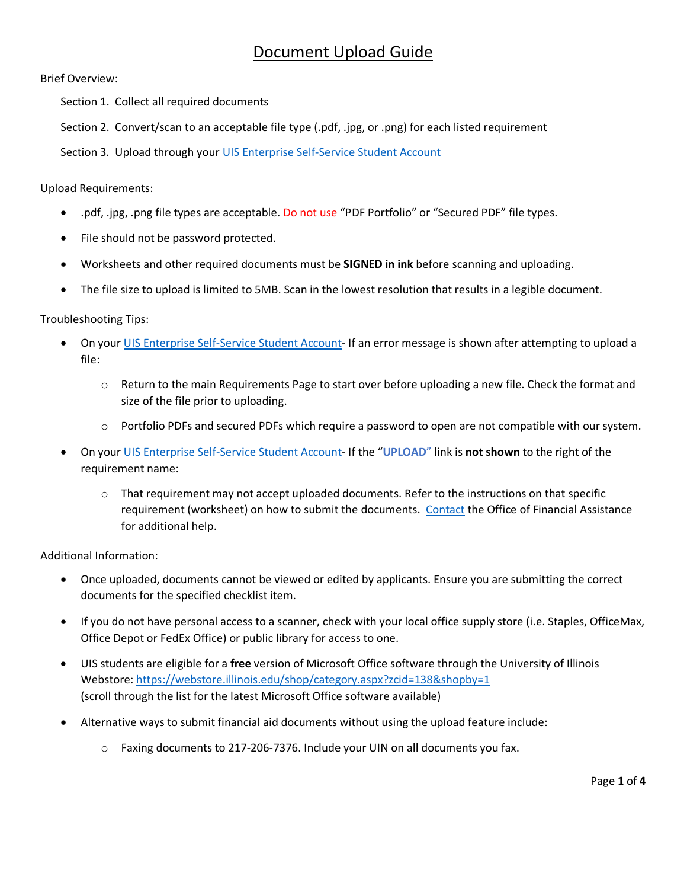## Document Upload Guide

Brief Overview:

Section 1. Collect all required documents

Section 2. Convert/scan to an acceptable file type (.pdf, .jpg, or .png) for each listed requirement

Section 3. Upload through your UIS Enterprise [Self-Service Student Account](https://login.uillinois.edu/auth/SystemLogin/sm_login.fcc?TYPE=33554433&REALMOID=06-a655cb7c-58d0-4028-b49f-79a4f5c6dd58&GUID=&SMAUTHREASON=0&METHOD=GET&SMAGENTNAME=-SM-dr9Cn7JnD4pZ%2fX9Y7a9FAQedR3gjL8aBVPXnJiLeXLOpk38WGJuo%2fOQRlFkbatU7C%2b9kHQgeqhK7gmsMW81KnMmzfZ3v0paM&TARGET=-SM-HTTPS%3a%2f%2fwebprod%2eadmin%2euillinois%2eedu%2fssa%2fservlet%2fSelfServiceLogin%3fappName%3dedu%2euillinois%2eaits%2eSelfServiceLogin%26dad%3dBANPROD4)

Upload Requirements:

- .pdf, .jpg, .png file types are acceptable. Do not use "PDF Portfolio" or "Secured PDF" file types.
- File should not be password protected.
- Worksheets and other required documents must be **SIGNED in ink** before scanning and uploading.
- The file size to upload is limited to 5MB. Scan in the lowest resolution that results in a legible document.

Troubleshooting Tips:

- On your UIS Enterprise [Self-Service Student Account-](https://login.uillinois.edu/auth/SystemLogin/sm_login.fcc?TYPE=33554433&REALMOID=06-a655cb7c-58d0-4028-b49f-79a4f5c6dd58&GUID=&SMAUTHREASON=0&METHOD=GET&SMAGENTNAME=-SM-dr9Cn7JnD4pZ%2fX9Y7a9FAQedR3gjL8aBVPXnJiLeXLOpk38WGJuo%2fOQRlFkbatU7C%2b9kHQgeqhK7gmsMW81KnMmzfZ3v0paM&TARGET=-SM-HTTPS%3a%2f%2fwebprod%2eadmin%2euillinois%2eedu%2fssa%2fservlet%2fSelfServiceLogin%3fappName%3dedu%2euillinois%2eaits%2eSelfServiceLogin%26dad%3dBANPROD4) If an error message is shown after attempting to upload a file:
	- $\circ$  Return to the main Requirements Page to start over before uploading a new file. Check the format and size of the file prior to uploading.
	- o Portfolio PDFs and secured PDFs which require a password to open are not compatible with our system.
- On your UIS Enterprise [Self-Service Student Account-](https://login.uillinois.edu/auth/SystemLogin/sm_login.fcc?TYPE=33554433&REALMOID=06-a655cb7c-58d0-4028-b49f-79a4f5c6dd58&GUID=&SMAUTHREASON=0&METHOD=GET&SMAGENTNAME=-SM-dr9Cn7JnD4pZ%2fX9Y7a9FAQedR3gjL8aBVPXnJiLeXLOpk38WGJuo%2fOQRlFkbatU7C%2b9kHQgeqhK7gmsMW81KnMmzfZ3v0paM&TARGET=-SM-HTTPS%3a%2f%2fwebprod%2eadmin%2euillinois%2eedu%2fssa%2fservlet%2fSelfServiceLogin%3fappName%3dedu%2euillinois%2eaits%2eSelfServiceLogin%26dad%3dBANPROD4) If the "**UPLOAD**" link is **not shown** to the right of the requirement name:
	- $\circ$  That requirement may not accept uploaded documents. Refer to the instructions on that specific requirement (worksheet) on how to submit the documents. [Contact](https://www.uis.edu/financialaid/contact/) the Office of Financial Assistance for additional help.

Additional Information:

- Once uploaded, documents cannot be viewed or edited by applicants. Ensure you are submitting the correct documents for the specified checklist item.
- If you do not have personal access to a scanner, check with your local office supply store (i.e. Staples, OfficeMax, Office Depot or FedEx Office) or public library for access to one.
- UIS students are eligible for a **free** version of Microsoft Office software through the University of Illinois Webstore[: https://webstore.illinois.edu/shop/category.aspx?zcid=138&shopby=1](https://webstore.illinois.edu/shop/category.aspx?zcid=138&shopby=1) (scroll through the list for the latest Microsoft Office software available)
- Alternative ways to submit financial aid documents without using the upload feature include:
	- $\circ$  Faxing documents to 217-206-7376. Include your UIN on all documents you fax.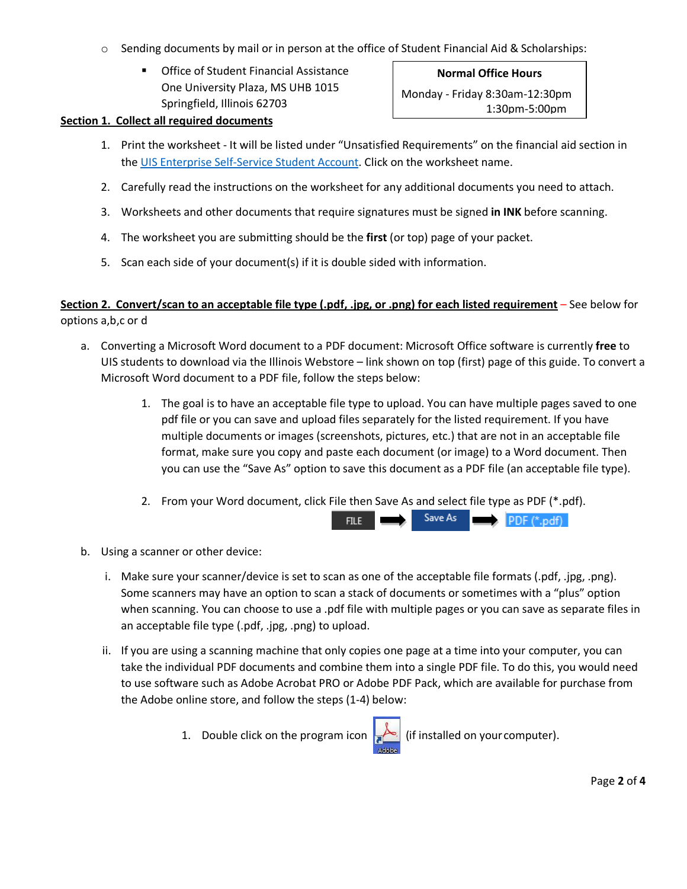- o Sending documents by mail or in person at the office of Student Financial Aid & Scholarships:
	- **Office of Student Financial Assistance** One University Plaza, MS UHB 1015 Springfield, Illinois 62703

**Normal Office Hours** Monday - Friday 8:30am-12:30pm 1:30pm-5:00pm

## **Section 1. Collect all required documents**

- 1. Print the worksheet It will be listed under "Unsatisfied Requirements" on the financial aid section in the UIS Enterprise [Self-Service Student Account.](https://login.uillinois.edu/auth/SystemLogin/sm_login.fcc?TYPE=33554433&REALMOID=06-a655cb7c-58d0-4028-b49f-79a4f5c6dd58&GUID=&SMAUTHREASON=0&METHOD=GET&SMAGENTNAME=-SM-dr9Cn7JnD4pZ%2fX9Y7a9FAQedR3gjL8aBVPXnJiLeXLOpk38WGJuo%2fOQRlFkbatU7C%2b9kHQgeqhK7gmsMW81KnMmzfZ3v0paM&TARGET=-SM-HTTPS%3a%2f%2fwebprod%2eadmin%2euillinois%2eedu%2fssa%2fservlet%2fSelfServiceLogin%3fappName%3dedu%2euillinois%2eaits%2eSelfServiceLogin%26dad%3dBANPROD4) Click on the worksheet name.
- 2. Carefully read the instructions on the worksheet for any additional documents you need to attach.
- 3. Worksheets and other documents that require signatures must be signed **in INK** before scanning.
- 4. The worksheet you are submitting should be the **first** (or top) page of your packet.
- 5. Scan each side of your document(s) if it is double sided with information.

## **Section 2. Convert/scan to an acceptable file type (.pdf, .jpg, or .png) for each listed requirement** – See below for options a,b,c or d

- a. Converting a Microsoft Word document to a PDF document: Microsoft Office software is currently **free** to UIS students to download via the Illinois Webstore – link shown on top (first) page of this guide. To convert a Microsoft Word document to a PDF file, follow the steps below:
	- 1. The goal is to have an acceptable file type to upload. You can have multiple pages saved to one pdf file or you can save and upload files separately for the listed requirement. If you have multiple documents or images (screenshots, pictures, etc.) that are not in an acceptable file format, make sure you copy and paste each document (or image) to a Word document. Then you can use the "Save As" option to save this document as a PDF file (an acceptable file type).
	- 2. From your Word document, click File then Save As and select file type as PDF (\*.pdf).



- b. Using a scanner or other device:
	- i. Make sure your scanner/device is set to scan as one of the acceptable file formats (.pdf, .jpg, .png). Some scanners may have an option to scan a stack of documents or sometimes with a "plus" option when scanning. You can choose to use a .pdf file with multiple pages or you can save as separate files in an acceptable file type (.pdf, .jpg, .png) to upload.
	- ii. If you are using a scanning machine that only copies one page at a time into your computer, you can take the individual PDF documents and combine them into a single PDF file. To do this, you would need to use software such as Adobe Acrobat PRO or Adobe PDF Pack, which are available for purchase from the Adobe online store, and follow the steps (1-4) below:
		- 1. Double click on the program icon  $\left| {\right\rangle _{n}}$  (if installed on your computer).

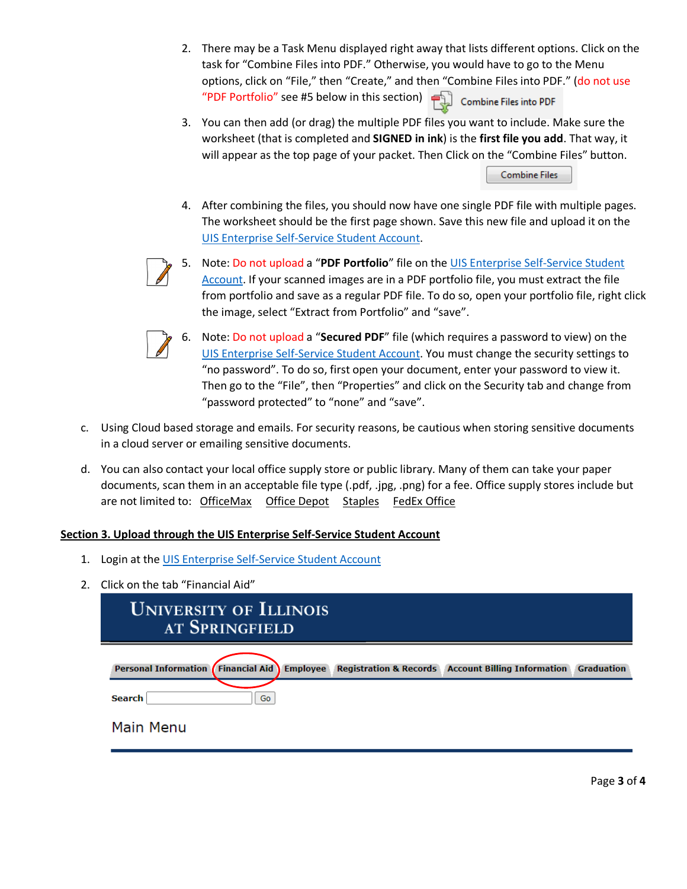- 2. There may be a Task Menu displayed right away that lists different options. Click on the task for "Combine Files into PDF." Otherwise, you would have to go to the Menu options, click on "File," then "Create," and then "Combine Files into PDF." (do not use "PDF Portfolio" see #5 below in this section)  $\Box$  Combine Files into PDF
- 3. You can then add (or drag) the multiple PDF files you want to include. Make sure the worksheet (that is completed and **SIGNED in ink**) is the **first file you add**. That way, it will appear as the top page of your packet. Then Click on the "Combine Files" button.

**Combine Files** 

4. After combining the files, you should now have one single PDF file with multiple pages. The worksheet should be the first page shown. Save this new file and upload it on the UIS Enterprise [Self-Service Student Account.](https://login.uillinois.edu/auth/SystemLogin/sm_login.fcc?TYPE=33554433&REALMOID=06-a655cb7c-58d0-4028-b49f-79a4f5c6dd58&GUID=&SMAUTHREASON=0&METHOD=GET&SMAGENTNAME=-SM-dr9Cn7JnD4pZ%2fX9Y7a9FAQedR3gjL8aBVPXnJiLeXLOpk38WGJuo%2fOQRlFkbatU7C%2b9kHQgeqhK7gmsMW81KnMmzfZ3v0paM&TARGET=-SM-HTTPS%3a%2f%2fwebprod%2eadmin%2euillinois%2eedu%2fssa%2fservlet%2fSelfServiceLogin%3fappName%3dedu%2euillinois%2eaits%2eSelfServiceLogin%26dad%3dBANPROD4)



5. Note: Do not upload a "**PDF Portfolio**" file on the UIS Enterprise [Self-Service Student](https://login.uillinois.edu/auth/SystemLogin/sm_login.fcc?TYPE=33554433&REALMOID=06-a655cb7c-58d0-4028-b49f-79a4f5c6dd58&GUID=&SMAUTHREASON=0&METHOD=GET&SMAGENTNAME=-SM-dr9Cn7JnD4pZ%2fX9Y7a9FAQedR3gjL8aBVPXnJiLeXLOpk38WGJuo%2fOQRlFkbatU7C%2b9kHQgeqhK7gmsMW81KnMmzfZ3v0paM&TARGET=-SM-HTTPS%3a%2f%2fwebprod%2eadmin%2euillinois%2eedu%2fssa%2fservlet%2fSelfServiceLogin%3fappName%3dedu%2euillinois%2eaits%2eSelfServiceLogin%26dad%3dBANPROD4)  [Account.](https://login.uillinois.edu/auth/SystemLogin/sm_login.fcc?TYPE=33554433&REALMOID=06-a655cb7c-58d0-4028-b49f-79a4f5c6dd58&GUID=&SMAUTHREASON=0&METHOD=GET&SMAGENTNAME=-SM-dr9Cn7JnD4pZ%2fX9Y7a9FAQedR3gjL8aBVPXnJiLeXLOpk38WGJuo%2fOQRlFkbatU7C%2b9kHQgeqhK7gmsMW81KnMmzfZ3v0paM&TARGET=-SM-HTTPS%3a%2f%2fwebprod%2eadmin%2euillinois%2eedu%2fssa%2fservlet%2fSelfServiceLogin%3fappName%3dedu%2euillinois%2eaits%2eSelfServiceLogin%26dad%3dBANPROD4) If your scanned images are in a PDF portfolio file, you must extract the file from portfolio and save as a regular PDF file. To do so, open your portfolio file, right click the image, select "Extract from Portfolio" and "save".



- 6. Note: Do not upload a "**Secured PDF**" file (which requires a password to view) on the UIS Enterprise [Self-Service Student Account.](https://login.uillinois.edu/auth/SystemLogin/sm_login.fcc?TYPE=33554433&REALMOID=06-a655cb7c-58d0-4028-b49f-79a4f5c6dd58&GUID=&SMAUTHREASON=0&METHOD=GET&SMAGENTNAME=-SM-dr9Cn7JnD4pZ%2fX9Y7a9FAQedR3gjL8aBVPXnJiLeXLOpk38WGJuo%2fOQRlFkbatU7C%2b9kHQgeqhK7gmsMW81KnMmzfZ3v0paM&TARGET=-SM-HTTPS%3a%2f%2fwebprod%2eadmin%2euillinois%2eedu%2fssa%2fservlet%2fSelfServiceLogin%3fappName%3dedu%2euillinois%2eaits%2eSelfServiceLogin%26dad%3dBANPROD4) You must change the security settings to "no password". To do so, first open your document, enter your password to view it. Then go to the "File", then "Properties" and click on the Security tab and change from "password protected" to "none" and "save".
- c. Using Cloud based storage and emails. For security reasons, be cautious when storing sensitive documents in a cloud server or emailing sensitive documents.
- d. You can also contact your local office supply store or public library. Many of them can take your paper documents, scan them in an acceptable file type (.pdf, .jpg, .png) for a fee. Office supply stores include but are not limited to: OfficeMax Office Depot Staples FedEx Office

## **Section 3. Upload through the UIS Enterprise Self-Service Student Account**

- 1. Login at the UIS Enterprise [Self-Service Student Account](https://login.uillinois.edu/auth/SystemLogin/sm_login.fcc?TYPE=33554433&REALMOID=06-a655cb7c-58d0-4028-b49f-79a4f5c6dd58&GUID=&SMAUTHREASON=0&METHOD=GET&SMAGENTNAME=-SM-dr9Cn7JnD4pZ%2fX9Y7a9FAQedR3gjL8aBVPXnJiLeXLOpk38WGJuo%2fOQRlFkbatU7C%2b9kHQgeqhK7gmsMW81KnMmzfZ3v0paM&TARGET=-SM-HTTPS%3a%2f%2fwebprod%2eadmin%2euillinois%2eedu%2fssa%2fservlet%2fSelfServiceLogin%3fappName%3dedu%2euillinois%2eaits%2eSelfServiceLogin%26dad%3dBANPROD4)
- 2. Click on the tab "Financial Aid"

| <b>UNIVERSITY OF ILLINOIS</b><br>AT SPRINGFIELD |    |                 |  |                                                               |                   |  |
|-------------------------------------------------|----|-----------------|--|---------------------------------------------------------------|-------------------|--|
| <b>Personal Information Financial Aid</b>       |    | <b>Employee</b> |  | <b>Registration &amp; Records Account Billing Information</b> | <b>Graduation</b> |  |
| <b>Search</b>                                   | Go |                 |  |                                                               |                   |  |
| Main Menu                                       |    |                 |  |                                                               |                   |  |